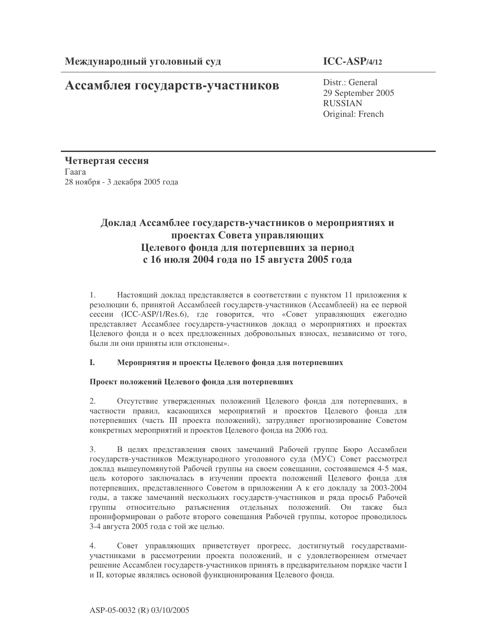# Ассамблея государств-участников

Distr.: General 29 September 2005 RUSSIAN Original: French

Четвертая сессия  $\Gamma$ aara 28 ноября - 3 декабря 2005 года

## Доклад Ассамблее государств-участников о мероприятиях и проектах Совета управляющих Целевого фонда для потерпевших за период **с 16 июля 2004 года по 15 августа 2005 года**

1. Настоящий доклад представляется в соответствии с пунктом 11 приложения к резолюции 6, принятой Ассамблеей государств-участников (Ассамблеей) на ее первой сессии (ICC-ASP/1/Res.6), где говорится, что «Совет управляющих ежегодно представляет Ассамблее государств-участников доклад о мероприятиях и проектах Целевого фонда и о всех предложенных добровольных взносах, независимо от того, были ли они приняты или отклонены».

### I. Мероприятия и проекты Целевого фонда для потерпевших

### Проект положений Целевого фонда для потерпевших

2. Отсутствие утвержденных положений Целевого фонда для потерпевших, в частности правил, касающихся мероприятий и проектов Целевого фонда для потерпевших (часть III проекта положений), затрудняет прогнозирование Советом конкретных мероприятий и проектов Целевого фонда на 2006 год.

3. В целях представления своих замечаний Рабочей группе Бюро Ассамблеи государств-участников Международного уголовного суда (МУС) Совет рассмотрел доклад вышеупомянутой Рабочей группы на своем совещании, состоявшемся 4-5 мая, цель которого заключалась в изучении проекта положений Целевого фонда для потерпевших, представленного Советом в приложении А к его докладу за 2003-2004 годы, а также замечаний нескольких государств-участников и ряда просьб Рабочей группы относительно разъяснения отдельных положений. Он также был проинформирован о работе второго совещания Рабочей группы, которое проводилось 3-4 августа 2005 года с той же целью.

4. Совет управляющих приветствует прогресс, достигнутый государствамиучастниками в рассмотрении проекта положений, и с удовлетворением отмечает решение Ассамблеи государств-участников принять в предварительном порядке части I и II, которые являлись основой функционирования Целевого фонда.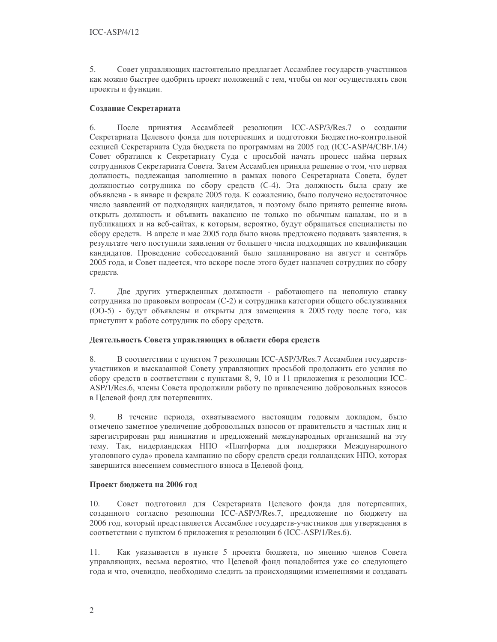5. Совет управляющих настоятельно предлагает Ассамблее государств-участников как можно быстрее одобрить проект положений с тем, чтобы он мог осуществлять свои проекты и функции.

#### Создание Секретариата

6. После принятия Ассамблеей резолюции ICC-ASP/3/Res.7 о создании Секретариата Целевого фонда для потерпевших и подготовки Бюджетно-контрольной секцией Секретариата Суда бюджета по программам на 2005 год (ICC-ASP/4/CBF.1/4) Совет обратился к Секретариату Суда с просьбой начать процесс найма первых сотрудников Секретариата Совета. Затем Ассамблея приняла решение о том, что первая должность, подлежащая заполнению в рамках нового Секретариата Совета, будет должностью сотрудника по сбору средств (C-4). Эта должность была сразу же объявлена - в январе и феврале 2005 года. К сожалению, было получено недостаточное число заявлений от подходящих кандидатов, и поэтому было принято решение вновь открыть должность и объявить вакансию не только по обычным каналам, но и в публикациях и на веб-сайтах, к которым, вероятно, будут обращаться специалисты по сбору средств. В апреле и мае 2005 года было вновь предложено подавать заявления, в результате чего поступили заявления от большего числа подходящих по квалификации кандидатов. Проведение собеседований было запланировано на август и сентябрь 2005 года, и Совет надеется, что вскоре после этого будет назначен сотрудник по сбору средств.

7. Две других утвержденных должности - работающего на неполную ставку сотрудника по правовым вопросам (C-2) и сотрудника категории общего обслуживания (ОО-5) - будут объявлены и открыты для замещения в 2005 году после того, как приступит к работе сотрудник по сбору средств.

### Деятельность Совета управляющих в области сбора средств

В соответствии с пунктом 7 резолюции ICC-ASP/3/Res.7 Ассамблеи государств-8. участников и высказанной Совету управляющих просьбой продолжить его усилия по сбору средств в соответствии с пунктами 8, 9, 10 и 11 приложения к резолюции ICC-ASP/1/Res.6, члены Совета продолжили работу по привлечению добровольных взносов в Целевой фонд для потерпевших.

9. В течение периода, охватываемого настоящим годовым докладом, было отмечено заметное увеличение добровольных взносов от правительств и частных лиц и зарегистрирован ряд инициатив и предложений международных организаций на эту тему. Так, нидерландская НПО «Платформа для поддержки Международного уголовного суда» провела кампанию по сбору средств среди голландских НПО, которая завершится внесением совместного взноса в Целевой фонд.

#### Проект бюджета на 2006 год

10. Совет подготовил для Секретариата Целевого фонда для потерпевших, созданного согласно резолюции ICC-ASP/3/Res.7, предложение по бюджету на 2006 год, который представляется Ассамблее государств-участников для утверждения в соответствии с пунктом 6 приложения к резолюции 6 (ICC-ASP/1/Res.6).

 $11.$ Как указывается в пункте 5 проекта бюджета, по мнению членов Совета управляющих, весьма вероятно, что Целевой фонд понадобится уже со следующего года и что, очевидно, необходимо следить за происходящими изменениями и создавать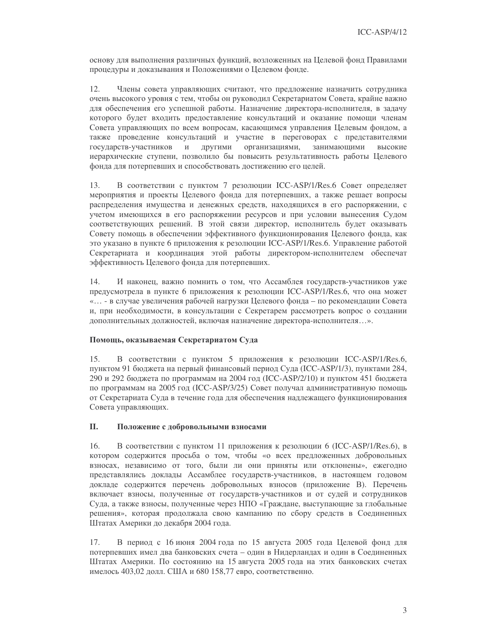основу для выполнения различных функций, возложенных на Целевой фонд Правилами процедуры и доказывания и Положениями о Целевом фонде.

12. Члены совета управляющих считают, что предложение назначить сотрудника очень высокого уровня с тем, чтобы он руководил Секретариатом Совета, крайне важно для обеспечения его успешной работы. Назначение директора-исполнителя, в задачу которого будет входить предоставление консультаций и оказание помощи членам Совета управляющих по всем вопросам, касающимся управления Целевым фондом, а также проведение консультаций и участие в переговорах с представителями государств-участников  $\mathbf{M}$ другими организациями, занимающими высокие иерархические ступени, позволило бы повысить результативность работы Целевого фонда для потерпевших и способствовать достижению его целей.

 $13$ В соответствии с пунктом 7 резолюции ICC-ASP/1/Res.6 Совет определяет мероприятия и проекты Целевого фонда для потерпевших, а также решает вопросы распределения имущества и денежных средств, находящихся в его распоряжении, с учетом имеющихся в его распоряжении ресурсов и при условии вынесения Судом соответствующих решений. В этой связи директор, исполнитель будет оказывать Совету помощь в обеспечении эффективного функционирования Целевого фонда, как это указано в пункте 6 приложения к резолюции ICC-ASP/1/Res.6. Управление работой Секретариата и координация этой работы директором-исполнителем обеспечат эффективность Целевого фонда для потерпевших.

14. И наконец, важно помнить о том, что Ассамблея государств-участников уже предусмотрела в пункте 6 приложения к резолюции ICC-ASP/1/Res.6, что она может «... - в случае увеличения рабочей нагрузки Целевого фонда – по рекомендации Совета и, при необходимости, в консультации с Секретарем рассмотреть вопрос о создании дополнительных должностей, включая назначение директора-исполнителя...».

#### Помощь, оказываемая Секретариатом Суда

15. В соответствии с пунктом 5 приложения к резолюции ICC-ASP/1/Res.6, пунктом 91 бюджета на первый финансовый период Суда (ICC-ASP/1/3), пунктами 284, 290 и 292 бюджета по программам на 2004 год (ICC-ASP/2/10) и пунктом 451 бюджета по программам на 2005 год (ICC-ASP/3/25) Совет получал административную помощь от Секретариата Суда в течение года для обеспечения надлежащего функционирования Совета управляющих.

#### II. Положение с добровольными взносами

 $16.$ В соответствии с пунктом 11 приложения к резолюции 6 (ICC-ASP/1/Res.6), в котором содержится просьба о том, чтобы «о всех предложенных добровольных взносах, независимо от того, были ли они приняты или отклонены», ежегодно представлялись доклады Ассамблее государств-участников, в настоящем годовом докладе содержится перечень добровольных взносов (приложение В). Перечень включает взносы, полученные от государств-участников и от судей и сотрудников Суда, а также взносы, полученные через НПО «Граждане, выступающие за глобальные решения», которая продолжала свою кампанию по сбору средств в Соединенных Штатах Америки до декабря 2004 года.

В период с 16 июня 2004 года по 15 августа 2005 года Целевой фонд для 17. потерпевших имел два банковских счета - один в Нидерландах и один в Соединенных Штатах Америки. По состоянию на 15 августа 2005 года на этих банковских счетах имелось 403,02 долл. США и 680 158,77 евро, соответственно.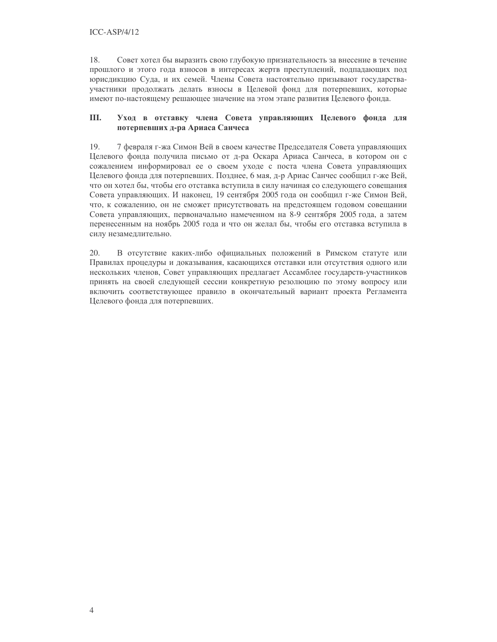$ICC-ASP/4/12$ 

18. Совет хотел бы выразить свою глубокую признательность за внесение в течение прошлого и этого года взносов в интересах жертв преступлений, подпадающих под юрисдикцию Суда, и их семей. Члены Совета настоятельно призывают государстваучастники продолжать делать взносы в Целевой фонд для потерпевших, которые имеют по-настоящему решающее значение на этом этапе развития Целевого фонда.

#### III. Уход в отставку члена Совета управляющих Целевого фонда для потерпевших д-ра Ариаса Санчеса

19. 7 февраля г-жа Симон Вей в своем качестве Председателя Совета управляющих Целевого фонда получила письмо от д-ра Оскара Ариаса Санчеса, в котором он с сожалением информировал ее о своем уходе с поста члена Совета управляющих Целевого фонда для потерпевших. Позднее, 6 мая, д-р Ариас Санчес сообщил г-же Вей, что он хотел бы, чтобы его отставка вступила в силу начиная со следующего совещания Совета управляющих. И наконец, 19 сентября 2005 года он сообщил г-же Симон Вей, что, к сожалению, он не сможет присутствовать на предстоящем годовом совещании Совета управляющих, первоначально намеченном на 8-9 сентября 2005 года, а затем перенесенным на ноябрь 2005 года и что он желал бы, чтобы его отставка вступила в силу незамедлительно.

20. В отсутствие каких-либо официальных положений в Римском статуте или Правилах процедуры и доказывания, касающихся отставки или отсутствия одного или нескольких членов, Совет управляющих предлагает Ассамблее государств-участников принять на своей следующей сессии конкретную резолюцию по этому вопросу или включить соответствующее правило в окончательный вариант проекта Регламента Целевого фонда для потерпевших.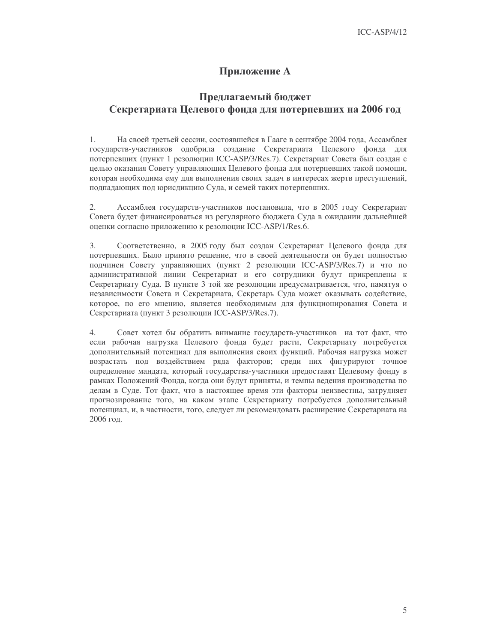### Приложение А

## Предлагаемый бюджет Секретариата Целевого фонда для потерпевших на 2006 год

1. На своей третьей сессии, состоявшейся в Гааге в сентябре 2004 года, Ассамблея государств-участников одобрила создание Секретариата Целевого фонда для потерпевших (пункт 1 резолюции ICC-ASP/3/Res.7). Секретариат Совета был создан с целью оказания Совету управляющих Целевого фонда для потерпевших такой помощи, которая необходима ему для выполнения своих задач в интересах жертв преступлений, подпадающих под юрисдикцию Суда, и семей таких потерпевших.

2. Ассамблея государств-участников постановила, что в 2005 году Секретариат Совета будет финансироваться из регулярного бюджета Суда в ожидании дальнейшей оценки согласно приложению к резолюции ICC-ASP/1/Res.6.

 $\overline{3}$ . Соответственно, в 2005 году был создан Секретариат Целевого фонда для потерпевших. Было принято решение, что в своей деятельности он будет полностью подчинен Совету управляющих (пункт 2 резолюции ICC-ASP/3/Res.7) и что по административной линии Секретариат и его сотрудники будут прикреплены к Секретариату Суда. В пункте 3 той же резолюции предусматривается, что, памятуя о независимости Совета и Секретариата, Секретарь Суда может оказывать содействие, которое, по его мнению, является необходимым для функционирования Совета и Секретариата (пункт 3 резолюции ICC-ASP/3/Res.7).

 $\overline{4}$ Совет хотел бы обратить внимание государств-участников на тот факт, что если рабочая нагрузка Целевого фонда будет расти, Секретариату потребуется дополнительный потенциал для выполнения своих функций. Рабочая нагрузка может возрастать под воздействием ряда факторов; среди них фигурируют точное определение мандата, который государства-участники предоставят Целевому фонду в рамках Положений Фонда, когда они будут приняты, и темпы ведения производства по делам в Суде. Тот факт, что в настоящее время эти факторы неизвестны, затрудняет прогнозирование того, на каком этапе Секретариату потребуется дополнительный потенциал, и, в частности, того, следует ли рекомендовать расширение Секретариата на 2006 год.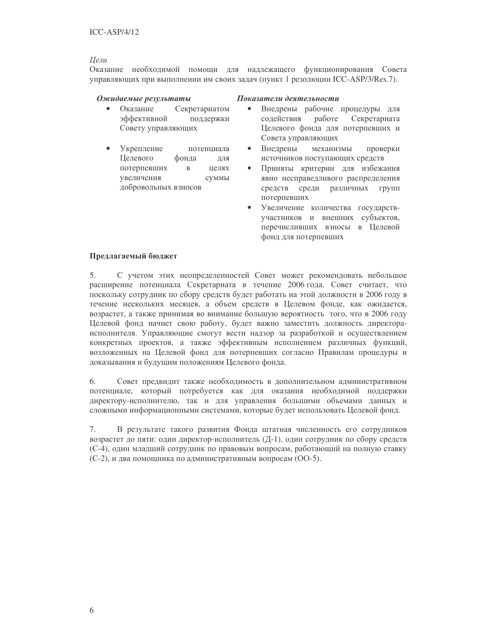#### **Пели**

Оказание необходимой помощи для надлежащего функционирования Совета управляющих при выполнении им своих задач (пункт 1 резолюции ICC-ASP/3/Res.7).

#### Ожидаемые результаты

- $\bullet$  Оказание Секретариатом эффективной поддержки Совету управляющих
- Укрепление потенциала Целевого фонда ЛЛЯ потерпевших целях  $\overline{B}$ увеличения суммы добровольных взносов

#### Показатели деятельности

- $\bullet$ Внедрены рабочие процедуры для солействия работе Секретариата Целевого фонда для потерпевших и Совета управляющих
- $\bullet$ Внедрены механизмы проверки источников поступающих средств
- Приняты критерии для избежания явно несправедливого распределения средств среди различных групп потерпевших
- Увеличение количества государствучастников и внешних субъектов, перечисливших взносы в Целевой фонд для потерпевших

#### Предлагаемый бюджет

5. С учетом этих неопределенностей Совет может рекомендовать небольшое расширение потенциала Секретариата в течение 2006 года. Совет считает, что поскольку сотрудник по сбору средств будет работать на этой должности в 2006 году в течение нескольких месяцев, а объем средств в Целевом фонде, как ожидается, возрастет, а также принимая во внимание большую вероятность того, что в 2006 году Целевой фонд начнет свою работу, будет важно заместить должность директораисполнителя. Управляющие смогут вести надзор за разработкой и осуществлением конкретных проектов, а также эффективным исполнением различных функций, возложенных на Целевой фонд для потерпевших согласно Правилам процедуры и доказывания и будущим положениям Целевого фонда.

Совет предвидит также необходимость в дополнительном административном 6. потенциале, который потребуется как для оказания необходимой поддержки директору-исполнителю, так и для управления большими объемами данных и сложными информационными системами, которые будет использовать Целевой фонд.

7. В результате такого развития Фонда штатная численность его сотрудников возрастет до пяти: один директор-исполнитель (Д-1), один сотрудник по сбору средств (C-4), один младший сотрудник по правовым вопросам, работающий на полную ставку (C-2), и два помощника по административным вопросам (OO-5).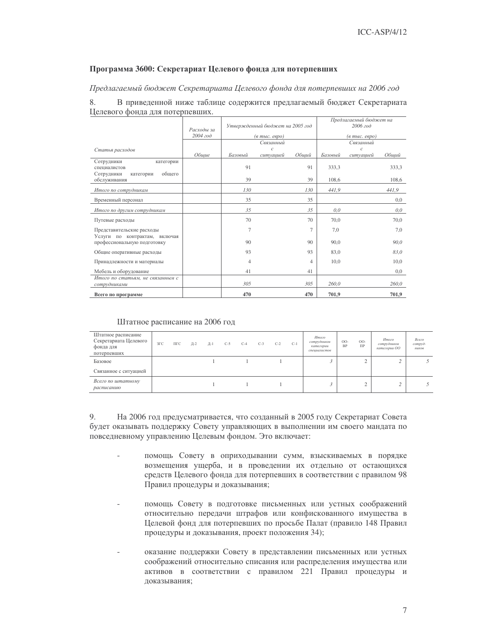#### Программа 3600: Секретариат Целевого фонда для потерпевших

Предлагаемый бюджет Секретариата Целевого фонда для потерпевших на 2006 год

8. В приведенной ниже таблице содержится предлагаемый бюджет Секретариата Целевого фонда для потерпевших.

|                                                                 | Расходы за |                | Утвержденный бюджет на 2005 год           |                |         | Предлагаемый бюджет на<br>2006 год |       |
|-----------------------------------------------------------------|------------|----------------|-------------------------------------------|----------------|---------|------------------------------------|-------|
|                                                                 | 2004 год   |                | $(a \text{ molc.} \text{ } e \text{spo})$ |                |         | (в тыс. евро)                      |       |
|                                                                 |            |                | Связанный                                 |                |         | Связанный                          |       |
| Статья расходов                                                 | Общие      | Базовый        | $\mathcal{C}$<br>cumyauueu                | Общий          | Базовый | $\mathcal{C}$<br>ситуацией         | Общий |
| Сотрудники<br>категории<br>специалистов<br>обшего<br>Сотрудники |            | 91             |                                           | 91             | 333.3   |                                    | 333,3 |
| категории<br>обслуживания                                       |            | 39             |                                           | 39             | 108.6   |                                    | 108,6 |
| Итого по сотрудникам                                            |            | 130            |                                           | 130            | 441,9   |                                    | 441,9 |
| Временный персонал                                              |            | 35             |                                           | 35             |         |                                    | 0,0   |
| Итого по другим сотрудникам                                     |            | 35             |                                           | 35             | 0,0     |                                    | 0,0   |
| Путевые расходы                                                 |            | 70             |                                           | 70             | 70.0    |                                    | 70,0  |
| Представительские расходы                                       |            | 7              |                                           | $\overline{7}$ | 7,0     |                                    | 7,0   |
| Услуги по контрактам, включая<br>профессиональную подготовку    |            | 90             |                                           | 90             | 90,0    |                                    | 90,0  |
| Общие оперативные расходы                                       |            | 93             |                                           | 93             | 83,0    |                                    | 83.0  |
| Принадлежности и материалы                                      |            | $\overline{4}$ |                                           | $\overline{4}$ | 10,0    |                                    | 10,0  |
| Мебель и оборудование                                           |            | 41             |                                           | 41             |         |                                    | 0,0   |
| Итого по статьям, не связанным с<br>сотрудниками                |            | 305            |                                           | 305            | 260.0   |                                    | 260,0 |
| Всего по программе                                              |            | 470            |                                           | 470            | 701,9   |                                    | 701,9 |

#### Штатное расписание на 2006 год

| Штатное расписание<br>Секретариата Целевого<br>фонда для<br>потерпевших | $3\Gamma C$ | ПГС | Д-2 | Д-1 | $C-5$ | $C-4$ | $C-3$ | $C-2$ | $C-1$ | Итого<br>сотрудников<br>категории<br>специалистов | $OO-$<br><b>BP</b> | $OO-$<br>$\Pi$ P | Итого<br>сотрудников<br>категории ОО | Всего<br>compyò-<br>ников |
|-------------------------------------------------------------------------|-------------|-----|-----|-----|-------|-------|-------|-------|-------|---------------------------------------------------|--------------------|------------------|--------------------------------------|---------------------------|
| Базовое                                                                 |             |     |     |     |       |       |       |       |       |                                                   |                    | $\sim$           |                                      |                           |
| Связанное с ситуацией                                                   |             |     |     |     |       |       |       |       |       |                                                   |                    |                  |                                      |                           |
| Всего по штатному<br>расписанию                                         |             |     |     |     |       |       |       |       |       |                                                   |                    | $\sim$<br>∸      |                                      |                           |

9. На 2006 год предусматривается, что созданный в 2005 году Секретариат Совета будет оказывать поддержку Совету управляющих в выполнении им своего мандата по повседневному управлению Целевым фондом. Это включает:

- помощь Совету в оприходывании сумм, взыскиваемых в порядке возмещения ущерба, и в проведении их отдельно от остающихся средств Целевого фонда для потерпевших в соответствии с правилом 98 Правил процедуры и доказывания;
- помощь Совету в подготовке письменных или устных соображений относительно передачи штрафов или конфискованного имущества в Целевой фонд для потерпевших по просьбе Палат (правило 148 Правил процедуры и доказывания, проект положения 34);
- оказание поддержки Совету в представлении письменных или устных соображений относительно списания или распределения имущества или активов в соответствии с правилом 221 Правил процедуры и доказывания;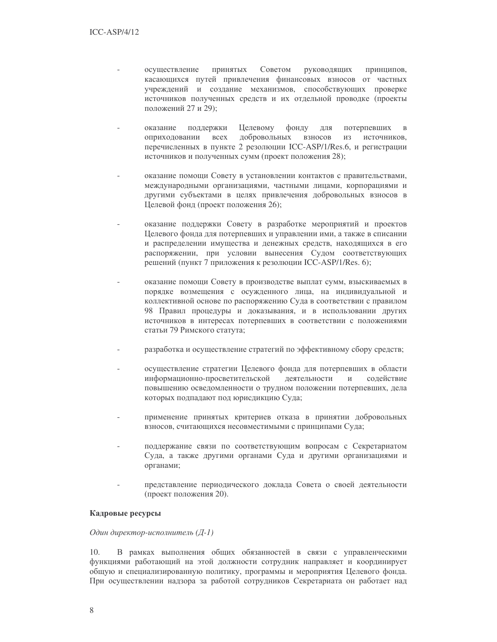- осуществление принятых Советом руководящих принципов, касающихся путей привлечения финансовых взносов от частных учреждений и создание механизмов, способствующих проверке источников полученных средств и их отдельной проводке (проекты положений 27 и 29);
- Целевому фонду оказание поддержки ДЛЯ потерпевших  $\overline{B}$ оприходовании **BCCX** добровольных взносов И3 источников. перечисленных в пункте 2 резолюции ICC-ASP/1/Res.6, и регистрации источников и полученных сумм (проект положения 28);
- оказание помощи Совету в установлении контактов с правительствами, международными организациями, частными лицами, корпорациями и другими субъектами в целях привлечения добровольных взносов в Целевой фонд (проект положения 26);
- оказание поддержки Совету в разработке мероприятий и проектов Целевого фонда для потерпевших и управлении ими, а также в списании и распределении имущества и денежных средств, находящихся в его распоряжении, при условии вынесения Судом соответствующих решений (пункт 7 приложения к резолюции ICC-ASP/1/Res. 6);
- оказание помощи Совету в производстве выплат сумм, взыскиваемых в порядке возмещения с осужденного лица, на индивидуальной и коллективной основе по распоряжению Суда в соответствии с правилом 98 Правил процедуры и доказывания, и в использовании других источников в интересах потерпевших в соответствии с положениями статьи 79 Римского статута;
- разработка и осуществление стратегий по эффективному сбору средств;
- осуществление стратегии Целевого фонда для потерпевших в области информационно-просветительской деятельности содействие  $\overline{M}$ повышению осведомленности о трудном положении потерпевших, дела которых подпадают под юрисдикцию Суда;
- применение принятых критериев отказа в принятии добровольных взносов, считающихся несовместимыми с принципами Суда;
- поддержание связи по соответствующим вопросам с Секретариатом Суда, а также другими органами Суда и другими организациями и органами;
- представление периодического доклада Совета о своей деятельности (проект положения 20).

#### Кадровые ресурсы

#### Один директор-исполнитель (Д-1)

 $10.$ В рамках выполнения общих обязанностей в связи с управленческими функциями работающий на этой должности сотрудник направляет и координирует общую и специализированную политику, программы и мероприятия Целевого фонда. При осуществлении надзора за работой сотрудников Секретариата он работает над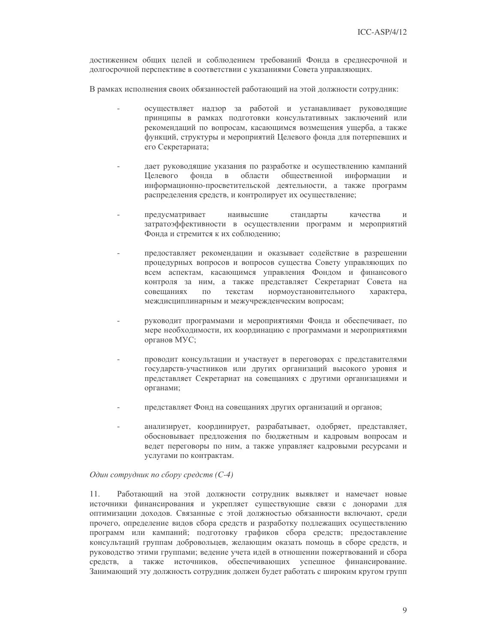достижением общих целей и соблюдением требований Фонда в среднесрочной и долгосрочной перспективе в соответствии с указаниями Совета управляющих.

В рамках исполнения своих обязанностей работающий на этой должности сотрудник:

- осуществляет надзор за работой и устанавливает руководящие принципы в рамках подготовки консультативных заключений или рекомендаций по вопросам, касающимся возмещения ущерба, а также функций, структуры и мероприятий Целевого фонда для потерпевших и его Секретариата;
- дает руководящие указания по разработке и осуществлению кампаний **Пелевого** фонда  $\mathbf{B}$ области общественной информации  $\mathbf{M}$ информационно-просветительской деятельности, а также программ распределения средств, и контролирует их осуществление;
- предусматривает наивысшие стандарты качества  $\overline{M}$ затратоэффективности в осуществлении программ и мероприятий Фонда и стремится к их соблюдению;
- предоставляет рекомендации и оказывает содействие в разрешении процедурных вопросов и вопросов существа Совету управляющих по всем аспектам, касающимся управления Фондом и финансового контроля за ним, а также представляет Секретариат Совета на совешаниях  $\Pi$ <sup>O</sup> текстам нормоустановительного характера, междисциплинарным и межучрежденческим вопросам;
- руководит программами и мероприятиями Фонда и обеспечивает, по мере необходимости, их координацию с программами и мероприятиями органов МУС;
- проводит консультации и участвует в переговорах с представителями государств-участников или других организаций высокого уровня и представляет Секретариат на совещаниях с другими организациями и органами;
- представляет Фонд на совещаниях других организаций и органов;
- анализирует, координирует, разрабатывает, одобряет, представляет, обосновывает предложения по бюджетным и кадровым вопросам и ведет переговоры по ним, а также управляет кадровыми ресурсами и услугами по контрактам.

Один сотрудник по сбору средств (С-4)

11. Работающий на этой должности сотрудник выявляет и намечает новые источники финансирования и укрепляет существующие связи с донорами для оптимизации доходов. Связанные с этой должностью обязанности включают, среди прочего, определение видов сбора средств и разработку подлежащих осуществлению программ или кампаний; подготовку графиков сбора средств; предоставление консультаций группам добровольцев, желающим оказать помощь в сборе средств, и руководство этими группами; ведение учета идей в отношении пожертвований и сбора средств, а также источников, обеспечивающих успешное финансирование. Занимающий эту должность сотрудник должен будет работать с широким кругом групп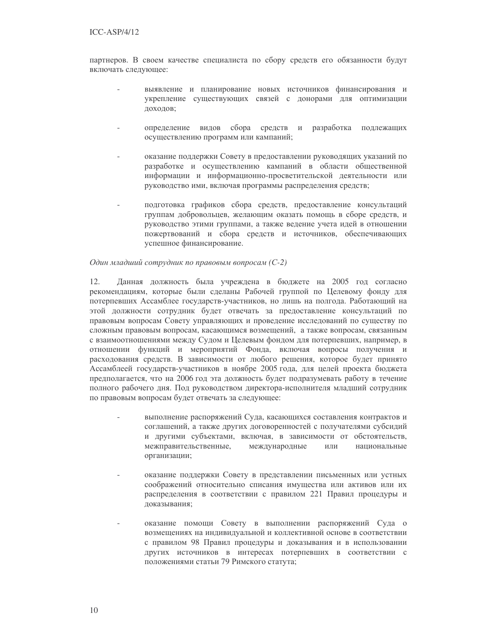партнеров. В своем качестве специалиста по сбору средств его обязанности будут включать следующее:

- выявление и планирование новых источников финансирования и укрепление существующих связей с донорами для оптимизации доходов;
- определение видов сбора средств и разработка подлежащих осуществлению программ или кампаний;
- оказание поддержки Совету в предоставлении руководящих указаний по разработке и осуществлению кампаний в области общественной информации и информационно-просветительской деятельности или руководство ими, включая программы распределения средств;
- подготовка графиков сбора средств, предоставление консультаций группам добровольцев, желающим оказать помощь в сборе средств, и руководство этими группами, а также ведение учета идей в отношении пожертвований и сбора средств и источников, обеспечивающих успешное финансирование.

#### Один младший сотрудник по правовым вопросам (С-2)

12. Данная должность была учреждена в бюджете на 2005 год согласно рекомендациям, которые были сделаны Рабочей группой по Целевому фонду для потерпевших Ассамблее государств-участников, но лишь на полгода. Работающий на этой должности сотрудник будет отвечать за предоставление консультаций по правовым вопросам Совету управляющих и проведение исследований по существу по сложным правовым вопросам, касающимся возмещений, а также вопросам, связанным с взаимоотношениями между Судом и Целевым фондом для потерпевших, например, в отношении функций и мероприятий Фонда, включая вопросы получения и расходования средств. В зависимости от любого решения, которое будет принято Ассамблеей государств-участников в ноябре 2005 года, для целей проекта бюджета предполагается, что на 2006 год эта должность будет подразумевать работу в течение полного рабочего дня. Под руководством директора-исполнителя младший сотрудник по правовым вопросам будет отвечать за следующее:

- выполнение распоряжений Суда, касающихся составления контрактов и соглашений, а также других договоренностей с получателями субсидий и другими субъектами, включая, в зависимости от обстоятельств, международные ИЛИ межправительственные, национальные организации;
- оказание поддержки Совету в представлении письменных или устных соображений относительно списания имущества или активов или их распределения в соответствии с правилом 221 Правил процедуры и доказывания;
- оказание помощи Совету в выполнении распоряжений Суда о возмещениях на индивидуальной и коллективной основе в соответствии с правилом 98 Правил процедуры и доказывания и в использовании других источников в интересах потерпевших в соответствии с положениями статьи 79 Римского статута;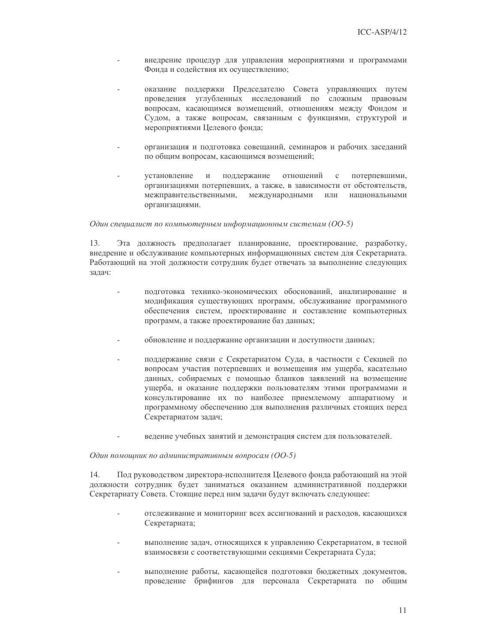- внедрение процедур для управления мероприятиями и программами Фонда и содействия их осуществлению;
- оказание поддержки Председателю Совета управляющих путем проведения углубленных исследований по сложным правовым вопросам, касающимся возмещений, отношениям между Фондом и Судом, а также вопросам, связанным с функциями, структурой и мероприятиями Целевого фонда;
- организация и подготовка совещаний, семинаров и рабочих заседаний по общим вопросам, касающимся возмещений;
- установление  $\overline{M}$ поддержание отношений  $\rm{c}$ потерпевшими, организациями потерпевших, а также, в зависимости от обстоятельств, межправительственными, международными ИЛИ национальными организациями.

#### Один специалист по компьютерным информационным системам (ОО-5)

13. Эта должность предполагает планирование, проектирование, разработку, внедрение и обслуживание компьютерных информационных систем для Секретариата. Работающий на этой должности сотрудник будет отвечать за выполнение следующих залач:

- подготовка технико-экономических обоснований, анализирование и модификация существующих программ, обслуживание программного обеспечения систем, проектирование и составление компьютерных программ, а также проектирование баз данных;
- обновление и поддержание организации и доступности данных;
- поддержание связи с Секретариатом Суда, в частности с Секцией по вопросам участия потерпевших и возмещения им ущерба, касательно данных, собираемых с помощью бланков заявлений на возмещение ущерба, и оказание поддержки пользователям этими программами и консультирование их по наиболее приемлемому аппаратному и программному обеспечению для выполнения различных стоящих перед Секретариатом задач;
- ведение учебных занятий и демонстрация систем для пользователей.

#### Один помощник по административным вопросам (ОО-5)

14. Под руководством директора-исполнителя Целевого фонда работающий на этой должности сотрудник будет заниматься оказанием административной поддержки Секретариату Совета. Стоящие перед ним задачи будут включать следующее:

- отслеживание и мониторинг всех ассигнований и расходов, касающихся Секретариата;
- выполнение задач, относящихся к управлению Секретариатом, в тесной взаимосвязи с соответствующими секциями Секретариата Суда;
- выполнение работы, касающейся подготовки бюджетных документов, проведение брифингов для персонала Секретариата по общим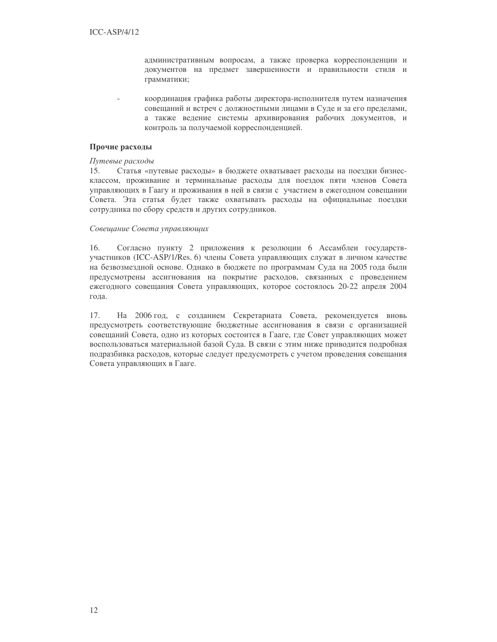административным вопросам, а также проверка корреспонденции и документов на предмет завершенности и правильности стиля и грамматики;

координация графика работы директора-исполнителя путем назначения совещаний и встреч с должностными лицами в Суде и за его пределами, а также ведение системы архивирования рабочих документов, и контроль за получаемой корреспонденцией.

#### Прочие расходы

#### Путевые расходы

15. Статья «путевые расходы» в бюджете охватывает расходы на поездки бизнесклассом, проживание и терминальные расходы для поездок пяти членов Совета управляющих в Гаагу и проживания в ней в связи с участием в ежегодном совещании Совета. Эта статья будет также охватывать расходы на официальные поездки сотрудника по сбору средств и других сотрудников.

#### Совешание Совета управляющих

16. Согласно пункту 2 приложения к резолюции 6 Ассамблеи государствучастников (ICC-ASP/1/Res. 6) члены Совета управляющих служат в личном качестве на безвозмездной основе. Однако в бюджете по программам Суда на 2005 года были предусмотрены ассигнования на покрытие расходов, связанных с проведением ежегодного совещания Совета управляющих, которое состоялось 20-22 апреля 2004 года.

 $17<sub>1</sub>$ На 2006 год, с созданием Секретариата Совета, рекомендуется вновь предусмотреть соответствующие бюджетные ассигнования в связи с организацией совещаний Совета, одно из которых состоится в Гааге, где Совет управляющих может воспользоваться материальной базой Суда. В связи с этим ниже приводится подробная подразбивка расходов, которые следует предусмотреть с учетом проведения совещания Совета управляющих в Гааге.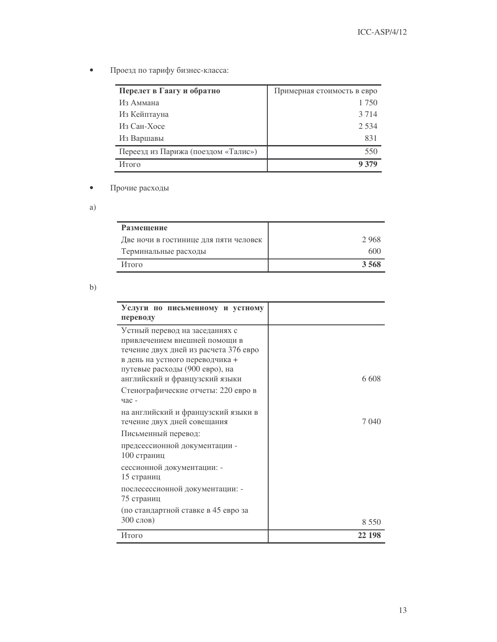Проезд по тарифу бизнес-класса:  $\bullet$ 

| Перелет в Гаагу и обратно           | Примерная стоимость в евро |
|-------------------------------------|----------------------------|
| Из Аммана                           | 1 750                      |
| Из Кейптауна                        | 3 7 1 4                    |
| Из Сан-Хосе                         | 2.534                      |
| Из Варшавы                          | 831                        |
| Переезд из Парижа (поездом «Талис») | 550                        |
| Итого                               | 9 379                      |

#### Прочие расходы  $\bullet$

 $a)$ 

| Размещение                            |      |
|---------------------------------------|------|
| Две ночи в гостинице для пяти человек | 2968 |
| Терминальные расходы                  | 600  |
| Итого                                 | 3568 |

 $b)$ 

| Услуги по письменному и устному<br>переводу<br>Устный перевод на заседаниях с<br>привлечением внешней помощи в<br>течение двух дней из расчета 376 евро<br>в день на устного переводчика +<br>путевые расходы (900 евро), на |         |
|------------------------------------------------------------------------------------------------------------------------------------------------------------------------------------------------------------------------------|---------|
|                                                                                                                                                                                                                              |         |
|                                                                                                                                                                                                                              |         |
|                                                                                                                                                                                                                              |         |
|                                                                                                                                                                                                                              |         |
|                                                                                                                                                                                                                              |         |
|                                                                                                                                                                                                                              |         |
|                                                                                                                                                                                                                              |         |
| английский и французский языки                                                                                                                                                                                               | 6.608   |
| Стенографические отчеты: 220 евро в                                                                                                                                                                                          |         |
| час -                                                                                                                                                                                                                        |         |
| на английский и французский языки в                                                                                                                                                                                          |         |
| течение двух дней совещания                                                                                                                                                                                                  | 7 040   |
| Письменный перевод:                                                                                                                                                                                                          |         |
| предсессионной документации -                                                                                                                                                                                                |         |
| 100 страниц                                                                                                                                                                                                                  |         |
| сессионной документации: -                                                                                                                                                                                                   |         |
| 15 страниц                                                                                                                                                                                                                   |         |
| послесессионной документации: -                                                                                                                                                                                              |         |
| 75 страниц                                                                                                                                                                                                                   |         |
| (по стандартной ставке в 45 евро за                                                                                                                                                                                          |         |
| 300 слов)                                                                                                                                                                                                                    | 8 5 5 0 |
| Итого<br>22 198                                                                                                                                                                                                              |         |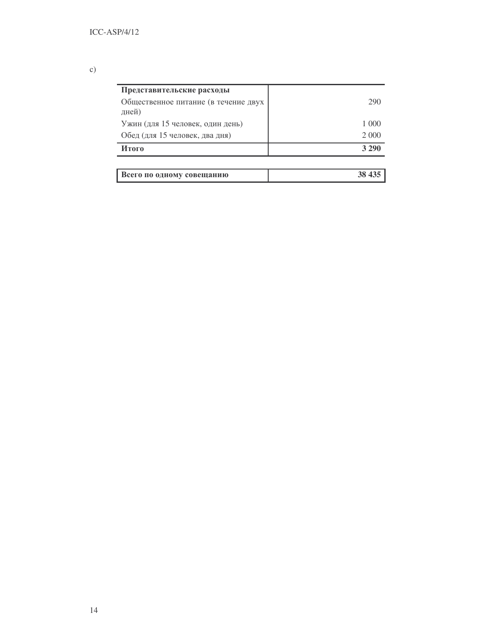# $c)$

| Представительские расходы                     |         |
|-----------------------------------------------|---------|
| Общественное питание (в течение двух<br>дней) | 290     |
| Ужин (для 15 человек, один день)              | 1 000   |
| Обед (для 15 человек, два дня)                | 2 0 0 0 |
| Итого                                         | 3 2 9 0 |
|                                               |         |

| Всего по одному совещанию |  |
|---------------------------|--|
|---------------------------|--|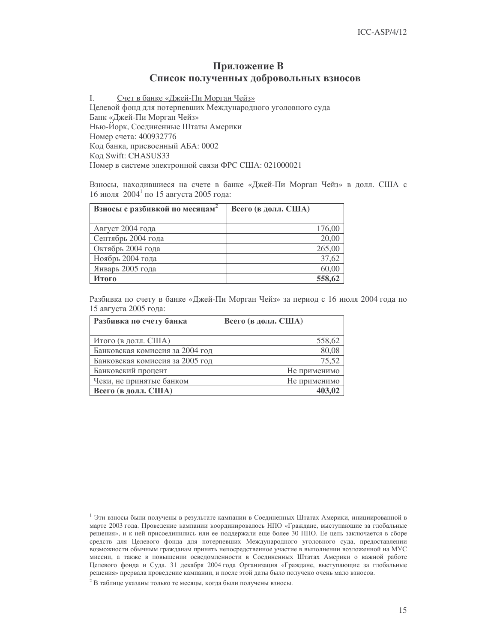## Приложение В Список полученных добровольных взносов

I. Счет в банке «Джей-Пи Морган Чейз» Целевой фонд для потерпевших Международного уголовного суда Банк «Джей-Пи Морган Чейз» Нью-Йорк, Соединенные Штаты Америки Номер счета: 400932776 Код банка, присвоенный АБА: 0002 Код Swift: CHASUS33 Номер в системе электронной связи ФРС США: 021000021

Взносы, находившиеся на счете в банке «Джей-Пи Морган Чейз» в долл. США с 16 июля  $2004<sup>1</sup>$  по 15 августа 2005 года:

| Взносы с разбивкой по месяцам <sup>2</sup> | Всего (в долл. США) |
|--------------------------------------------|---------------------|
|                                            |                     |
| Август 2004 года                           | 176,00              |
| Сентябрь 2004 года                         | 20,00               |
| Октябрь 2004 года                          | 265,00              |
| Ноябрь 2004 года                           | 37,62               |
| Январь 2005 года                           | 60,00               |
| Итого                                      | 558,62              |

Разбивка по счету в банке «Джей-Пи Морган Чейз» за период с 16 июля 2004 года по 15 августа 2005 года:

| Разбивка по счету банка         | Всего (в долл. США) |
|---------------------------------|---------------------|
|                                 |                     |
| Итого (в долл. США)             | 558,62              |
| Банковская комиссия за 2004 год | 80,08               |
| Банковская комиссия за 2005 год | 75,52               |
| Банковский процент              | Не применимо        |
| Чеки, не принятые банком        | Не применимо        |
| Всего (в долл. США)             |                     |

<sup>&</sup>lt;sup>1</sup> Эти взносы были получены в результате кампании в Соединенных Штатах Америки, инициированной в марте 2003 года. Проведение кампании координировалось НПО «Граждане, выступающие за глобальные решения», и к ней присоединились или ее поддержали еще более 30 НПО. Ее цель заключается в сборе средств для Целевого фонда для потерпевших Международного уголовного суда, предоставлении возможности обычным гражданам принять непосредственное участие в выполнении возложенной на МУС миссии, а также в повышении осведомленности в Соединенных Штатах Америки о важной работе Целевого фонда и Суда. 31 декабря 2004 года Организация «Граждане, выступающие за глобальные решения» прервала проведение кампании, и после этой даты было получено очень мало взносов.

 $^2$  В таблице указаны только те месяцы, когда были получены взносы.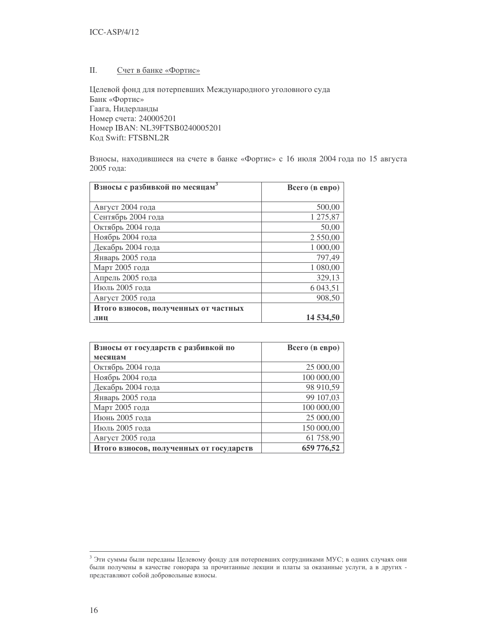#### II. Счет в банке «Фортис»

Целевой фонд для потерпевших Международного уголовного суда Банк «Фортис» Гаага, Нидерланды Номер счета: 240005201  IBAN: NL39FTSB0240005201 Код Swift: FTSBNL2R

Взносы, находившиеся на счете в банке «Фортис» с 16 июля 2004 года по 15 августа 2005 года:

| Взносы с разбивкой по месяцам        | Всего (в евро) |
|--------------------------------------|----------------|
|                                      |                |
| Август 2004 года                     | 500,00         |
| Сентябрь 2004 года                   | 1 275,87       |
| Октябрь 2004 года                    | 50,00          |
| Ноябрь 2004 года                     | 2 550,00       |
| Декабрь 2004 года                    | 1 000,00       |
| Январь 2005 года                     | 797,49         |
| Март 2005 года                       | 1 080,00       |
| Апрель 2005 года                     | 329,13         |
| Июль 2005 года                       | 6 043,51       |
| Август 2005 года                     | 908,50         |
| Итого взносов, полученных от частных |                |
| лиц                                  | 14 534,50      |

| Взносы от государств с разбивкой по     | Всего (в евро) |
|-----------------------------------------|----------------|
| месяцам                                 |                |
| Октябрь 2004 года                       | 25 000,00      |
| Ноябрь 2004 года                        | 100 000,00     |
| Декабрь 2004 года                       | 98 910,59      |
| Январь 2005 года                        | 99 107,03      |
| Март 2005 года                          | 100 000,00     |
| Июнь 2005 года                          | 25 000,00      |
| Июль 2005 года                          | 150 000,00     |
| Август 2005 года                        | 61 758,90      |
| Итого взносов, полученных от государств | 659 776,52     |

 $^3$  Эти суммы были переданы Целевому фонду для потерпевших сотрудниками МУС; в одних случаях они были получены в качестве гонорара за прочитанные лекции и платы за оказанные услуги, а в других представляют собой добровольные взносы.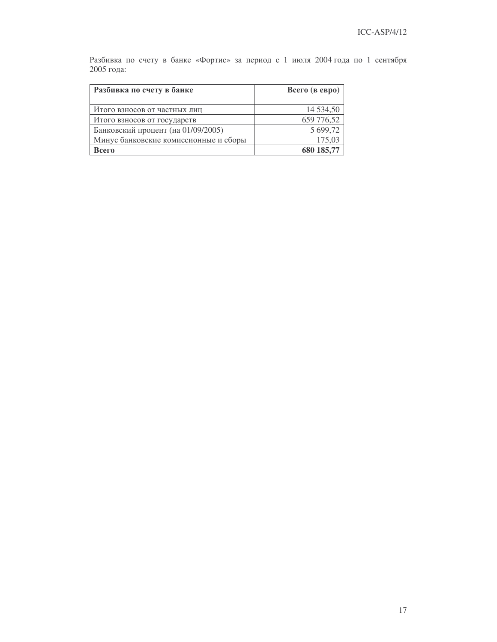Разбивка по счету в банке «Фортис» за период с 1 июля 2004 года по 1 сентября 2005 года:

| Разбивка по счету в банке             | Всего (в евро) |
|---------------------------------------|----------------|
| Итого взносов от частных лиц          | 14 5 3 4 5 5 0 |
| Итого взносов от государств           | 659 776,52     |
| Банковский процент (на 01/09/2005)    | 5 699,72       |
| Минус банковские комиссионные и сборы | 175,03         |
| Всего                                 | 680 185,77     |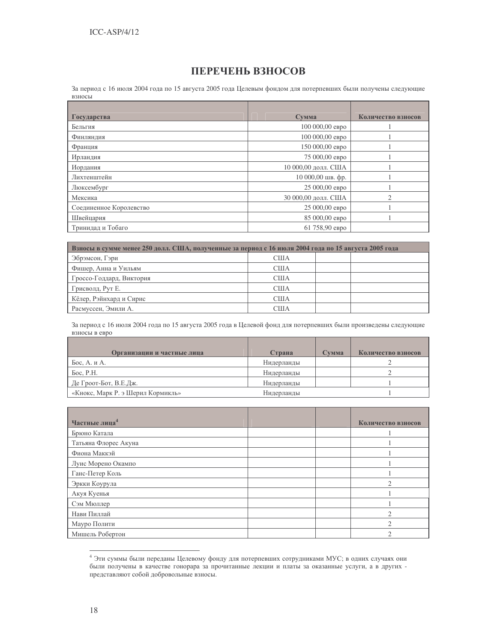## ПЕРЕЧЕНЬ ВЗНОСОВ

За период с 16 июля 2004 года по 15 августа 2005 года Целевым фондом для потерпевших были получены следующие взносы

| Государства             | Сумма               | Количество взносов |
|-------------------------|---------------------|--------------------|
| Бельгия                 | 100 000,00 евро     |                    |
| Финляндия               | 100 000,00 евро     |                    |
| Франция                 | 150 000,00 евро     |                    |
| Ирландия                | 75 000,00 евро      |                    |
| Иордания                | 10 000,00 долл. США |                    |
| Лихтенштейн             | 10 000,00 шв. фр.   |                    |
| Люксембург              | 25 000,00 евро      |                    |
| Мексика                 | 30 000,00 долл. США | $\overline{c}$     |
| Соединенное Королевство | 25 000,00 евро      |                    |
| Швейцария               | 85 000,00 евро      |                    |
| Тринидад и Тобаго       | 61 758,90 евро      |                    |

| Взносы в сумме менее 250 долл. США, полученные за период с 16 июля 2004 года по 15 августа 2005 года |            |  |  |
|------------------------------------------------------------------------------------------------------|------------|--|--|
| Эбрэмсон, Гэри                                                                                       | США        |  |  |
| Фишер, Анна и Уильям                                                                                 | <b>США</b> |  |  |
| Гроссо-Годдард, Виктория                                                                             | США        |  |  |
| Грисволд, Рут Е.                                                                                     | США        |  |  |
| Кёлер, Рэйнхард и Сирис                                                                              | США        |  |  |
| Расмуссен, Эмили А.                                                                                  | США        |  |  |

За период с 16 июля 2004 года по 15 августа 2005 года в Целевой фонд для потерпевших были произведены следующие взносы в евро

| Организации и частные лица        | Страна     | Сумма | Количество взносов |
|-----------------------------------|------------|-------|--------------------|
| Бос, А. и А.                      | Нидерланды |       |                    |
| Бос. P.H.                         | Нидерланды |       |                    |
| Де Гроот-Бот, В.Е.Дж.             | Нидерланды |       |                    |
| «Кнокс, Марк Р. э Шерил Кормикль» | Нидерланды |       |                    |

| Частные лица <sup>4</sup> |  | Количество взносов       |
|---------------------------|--|--------------------------|
| Брюно Катала              |  |                          |
| Татьяна Флорес Акуна      |  |                          |
| Фиона Маккэй              |  |                          |
| Луис Морено Окампо        |  |                          |
| Ганс-Петер Коль           |  |                          |
| Эркки Коурула             |  |                          |
| Акуя Куенья               |  |                          |
| Сэм Мюллер                |  |                          |
| Нави Пиллай               |  | $\mathfrak{D}_{1}^{(1)}$ |
| Мауро Полити              |  | $\mathfrak{D}_{1}^{(1)}$ |
| Мишель Робертон           |  | ◠                        |

<sup>&</sup>lt;sup>4</sup> Эти суммы были переданы Целевому фонду для потерпевших сотрудниками МУС; в одних случаях они были получены в качестве гонорара за прочитанные лекции и платы за оказанные услуги, а в других представляют собой добровольные взносы.